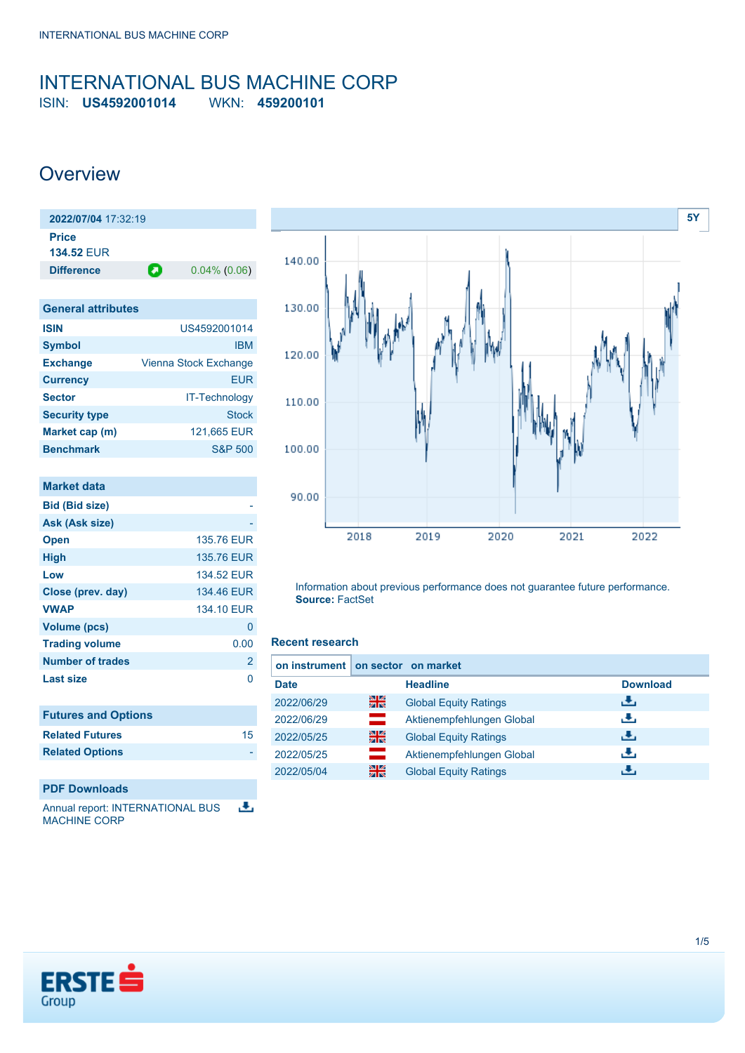## <span id="page-0-0"></span>INTERNATIONAL BUS MACHINE CORP ISIN: **US4592001014** WKN: **459200101**

# **Overview**

| 2022/07/04 17:32:19 |                 |
|---------------------|-----------------|
|                     |                 |
| o                   | $0.04\%$ (0.06) |
|                     |                 |

| <b>General attributes</b> |                       |
|---------------------------|-----------------------|
| <b>ISIN</b>               | US4592001014          |
| <b>Symbol</b>             | <b>IBM</b>            |
| <b>Exchange</b>           | Vienna Stock Exchange |
| <b>Currency</b>           | <b>EUR</b>            |
| <b>Sector</b>             | IT-Technology         |
| <b>Security type</b>      | Stock                 |
| Market cap (m)            | 121,665 EUR           |
| <b>Benchmark</b>          | <b>S&amp;P 500</b>    |

| <b>Market data</b>         |                |
|----------------------------|----------------|
| <b>Bid (Bid size)</b>      |                |
| Ask (Ask size)             |                |
| <b>Open</b>                | 135.76 EUR     |
| <b>High</b>                | 135.76 EUR     |
| Low                        | 134.52 FUR     |
| Close (prev. day)          | 134.46 EUR     |
| <b>VWAP</b>                | 134.10 EUR     |
| <b>Volume (pcs)</b>        | 0              |
| <b>Trading volume</b>      | 0.00           |
| Number of trades           | $\overline{2}$ |
| <b>Last size</b>           | ∩              |
|                            |                |
| <b>Futures and Options</b> |                |
| <b>Related Futures</b>     | 15             |
| <b>Related Options</b>     |                |
|                            |                |
| <b>PDF Downloads</b>       |                |

舌 Annual report: INTERNATIONAL BUS MACHINE CORP



Information about previous performance does not guarantee future performance. **Source:** FactSet

## **Recent research**

| on instrument on sector on market |                                                                                                                                              |                              |                 |
|-----------------------------------|----------------------------------------------------------------------------------------------------------------------------------------------|------------------------------|-----------------|
| <b>Date</b>                       |                                                                                                                                              | <b>Headline</b>              | <b>Download</b> |
| 2022/06/29                        | 을                                                                                                                                            | <b>Global Equity Ratings</b> | Æ,              |
| 2022/06/29                        | $\mathcal{L}$                                                                                                                                | Aktienempfehlungen Global    | æ,              |
| 2022/05/25                        | 을                                                                                                                                            | <b>Global Equity Ratings</b> | Æ,              |
| 2022/05/25                        | and and the second series.<br>The second second series of the second series in the second series of the second series in the series of the s | Aktienempfehlungen Global    | æ,              |
| 2022/05/04                        | 을중                                                                                                                                           | <b>Global Equity Ratings</b> |                 |

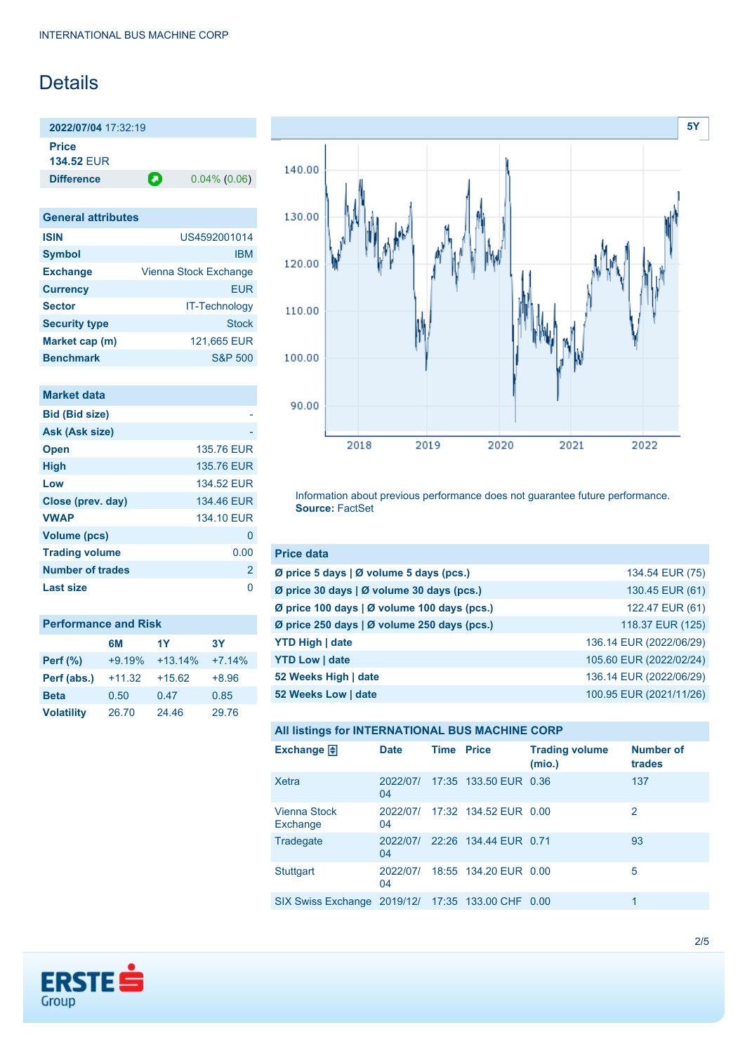# Details

**2022/07/04** 17:32:19 **Price 134.52** EUR

**Difference 0.04% (0.06)** 

| <b>General attributes</b> |                       |
|---------------------------|-----------------------|
| <b>ISIN</b>               | US4592001014          |
| <b>Symbol</b>             | <b>IBM</b>            |
| <b>Exchange</b>           | Vienna Stock Exchange |
| <b>Currency</b>           | FUR                   |
| <b>Sector</b>             | <b>IT-Technology</b>  |
| <b>Security type</b>      | Stock                 |
| Market cap (m)            | 121,665 EUR           |
| <b>Benchmark</b>          | <b>S&amp;P 500</b>    |

| Market data             |                |
|-------------------------|----------------|
| <b>Bid (Bid size)</b>   |                |
| Ask (Ask size)          |                |
| <b>Open</b>             | 135.76 EUR     |
| <b>High</b>             | 135.76 EUR     |
| Low                     | 134.52 FUR     |
| Close (prev. day)       | 134.46 EUR     |
| <b>VWAP</b>             | 134.10 EUR     |
| <b>Volume (pcs)</b>     | 0              |
| <b>Trading volume</b>   | 0.00           |
| <b>Number of trades</b> | $\overline{2}$ |
| Last size               |                |

| <b>Performance and Risk</b> |          |           |          |  |  |
|-----------------------------|----------|-----------|----------|--|--|
|                             | 6M       | 1Y        | 3Υ       |  |  |
| <b>Perf</b> (%)             | $+9.19%$ | $+13.14%$ | $+7.14%$ |  |  |
| Perf (abs.)                 | $+11.32$ | $+15.62$  | $+8.96$  |  |  |
| <b>Beta</b>                 | 0.50     | 0.47      | 0.85     |  |  |
| <b>Volatility</b>           | 26.70    | 24.46     | 29.76    |  |  |



Information about previous performance does not guarantee future performance. **Source:** FactSet

| <b>Price data</b>                                         |                         |
|-----------------------------------------------------------|-------------------------|
| $\emptyset$ price 5 days $\emptyset$ volume 5 days (pcs.) | 134.54 EUR (75)         |
| Ø price 30 days   Ø volume 30 days (pcs.)                 | 130.45 EUR (61)         |
| Ø price 100 days   Ø volume 100 days (pcs.)               | 122.47 EUR (61)         |
| Ø price 250 days   Ø volume 250 days (pcs.)               | 118.37 EUR (125)        |
| <b>YTD High   date</b>                                    | 136.14 EUR (2022/06/29) |
| <b>YTD Low   date</b>                                     | 105.60 EUR (2022/02/24) |
| 52 Weeks High   date                                      | 136.14 EUR (2022/06/29) |
| 52 Weeks Low   date                                       | 100.95 EUR (2021/11/26) |

|  |  | All listings for INTERNATIONAL BUS MACHINE CORP |
|--|--|-------------------------------------------------|
|--|--|-------------------------------------------------|

| Exchange $\Box$                                   | <b>Date</b>    | <b>Time Price</b> |                       | <b>Trading volume</b><br>(mio.) | <b>Number of</b><br>trades |
|---------------------------------------------------|----------------|-------------------|-----------------------|---------------------------------|----------------------------|
| Xetra                                             | 2022/07/<br>04 |                   | 17:35 133.50 EUR 0.36 |                                 | 137                        |
| Vienna Stock<br>Exchange                          | 2022/07/<br>04 |                   | 17:32 134.52 EUR 0.00 |                                 | 2                          |
| Tradegate                                         | 2022/07/<br>04 |                   | 22:26 134.44 EUR 0.71 |                                 | 93                         |
| <b>Stuttgart</b>                                  | 2022/07/<br>04 |                   | 18:55 134.20 EUR 0.00 |                                 | 5                          |
| SIX Swiss Exchange 2019/12/ 17:35 133.00 CHF 0.00 |                |                   |                       |                                 | 1                          |

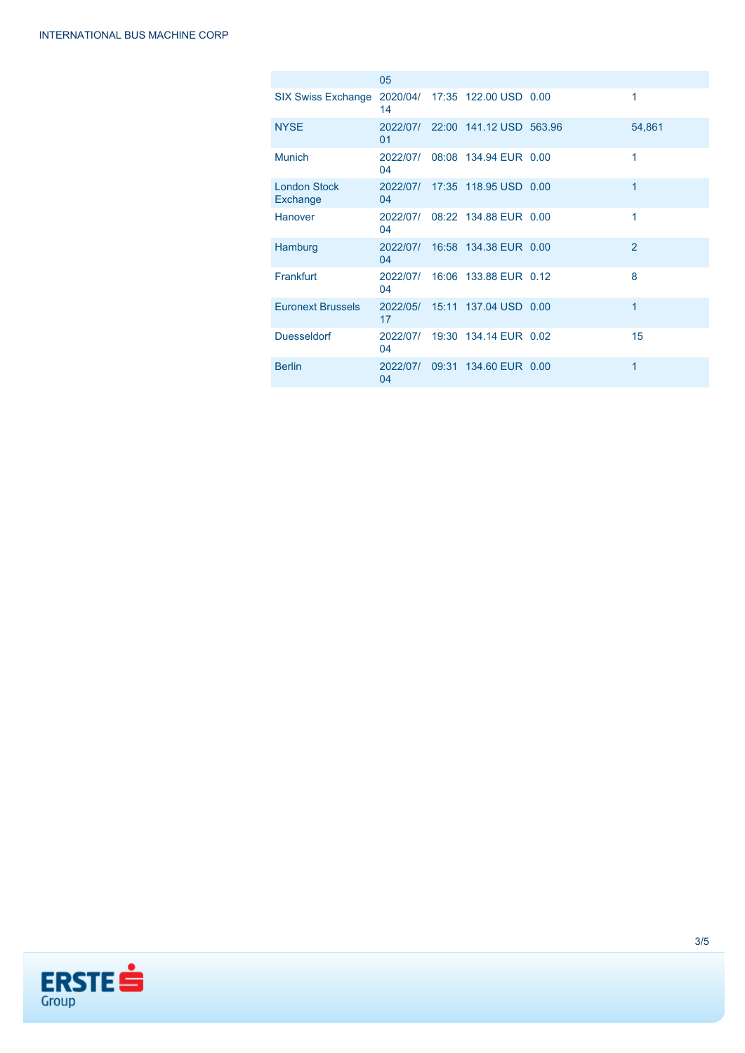|                                 | 05             |                                  |                |
|---------------------------------|----------------|----------------------------------|----------------|
| <b>SIX Swiss Exchange</b>       | 14             | 2020/04/ 17:35 122.00 USD 0.00   | 1              |
| <b>NYSE</b>                     | 01             | 2022/07/ 22:00 141.12 USD 563.96 | 54,861         |
| <b>Munich</b>                   | 04             | 2022/07/ 08:08 134.94 EUR 0.00   | 1              |
| <b>London Stock</b><br>Exchange | 04             | 2022/07/ 17:35 118.95 USD 0.00   | 1              |
| <b>Hanover</b>                  | 04             | 2022/07/ 08:22 134.88 EUR 0.00   | 1              |
| Hamburg                         | 04             | 2022/07/ 16:58 134.38 EUR 0.00   | $\overline{2}$ |
| Frankfurt                       | 04             | 2022/07/ 16:06 133.88 EUR 0.12   | 8              |
| <b>Euronext Brussels</b>        | 17             | 2022/05/ 15:11 137.04 USD 0.00   | 1              |
| <b>Duesseldorf</b>              | 04             | 2022/07/ 19:30 134.14 EUR 0.02   | 15             |
| <b>Berlin</b>                   | 2022/07/<br>04 | 09:31 134.60 EUR 0.00            | 1              |

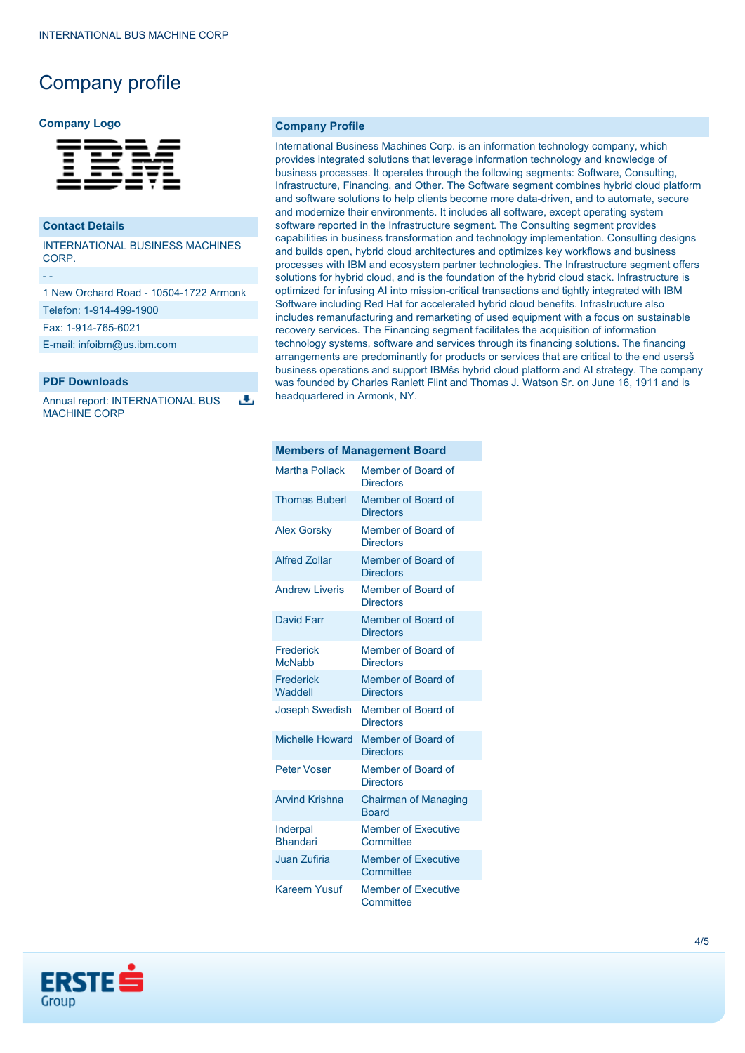# Company profile

#### **Company Logo**

| $\qquad \qquad$ |  | _____<br>_____<br>- - - -<br>_ _ _ _<br>- - - --<br>- -----<br>______<br>____ |
|-----------------|--|-------------------------------------------------------------------------------|

### **Contact Details**

- -

INTERNATIONAL BUSINESS MACHINES CORP.

1 New Orchard Road - 10504-1722 Armonk Telefon: 1-914-499-1900 Fax: 1-914-765-6021

[E-mail: infoibm@us.ibm.com](mailto:infoibm@us.ibm.com)

## **PDF Downloads**

Annual report: INTERNATIONAL BUS MACHINE CORP

J.

#### **Company Profile**

International Business Machines Corp. is an information technology company, which provides integrated solutions that leverage information technology and knowledge of business processes. It operates through the following segments: Software, Consulting, Infrastructure, Financing, and Other. The Software segment combines hybrid cloud platform and software solutions to help clients become more data-driven, and to automate, secure and modernize their environments. It includes all software, except operating system software reported in the Infrastructure segment. The Consulting segment provides capabilities in business transformation and technology implementation. Consulting designs and builds open, hybrid cloud architectures and optimizes key workflows and business processes with IBM and ecosystem partner technologies. The Infrastructure segment offers solutions for hybrid cloud, and is the foundation of the hybrid cloud stack. Infrastructure is optimized for infusing AI into mission-critical transactions and tightly integrated with IBM Software including Red Hat for accelerated hybrid cloud benefits. Infrastructure also includes remanufacturing and remarketing of used equipment with a focus on sustainable recovery services. The Financing segment facilitates the acquisition of information technology systems, software and services through its financing solutions. The financing arrangements are predominantly for products or services that are critical to the end usersš business operations and support IBMšs hybrid cloud platform and AI strategy. The company was founded by Charles Ranlett Flint and Thomas J. Watson Sr. on June 16, 1911 and is headquartered in Armonk, NY.

#### **Members of Management Board**

| <b>Martha Pollack</b>       | Member of Board of<br><b>Directors</b>      |
|-----------------------------|---------------------------------------------|
| <b>Thomas Buberl</b>        | Member of Board of<br><b>Directors</b>      |
| <b>Alex Gorsky</b>          | Member of Board of<br><b>Directors</b>      |
| <b>Alfred Zollar</b>        | Member of Board of<br><b>Directors</b>      |
| <b>Andrew Liveris</b>       | Member of Board of<br><b>Directors</b>      |
| David Farr                  | Member of Board of<br><b>Directors</b>      |
| Frederick<br><b>McNabb</b>  | Member of Board of<br><b>Directors</b>      |
| Frederick<br>Waddell        | Member of Board of<br><b>Directors</b>      |
| <b>Joseph Swedish</b>       | Member of Board of<br><b>Directors</b>      |
| <b>Michelle Howard</b>      | Member of Board of<br><b>Directors</b>      |
| <b>Peter Voser</b>          | Member of Board of<br><b>Directors</b>      |
| <b>Arvind Krishna</b>       | <b>Chairman of Managing</b><br><b>Board</b> |
| Inderpal<br><b>Bhandari</b> | <b>Member of Executive</b><br>Committee     |
| <b>Juan Zufiria</b>         | <b>Member of Executive</b><br>Committee     |
| Kareem Yusuf                | <b>Member of Executive</b><br>Committee     |